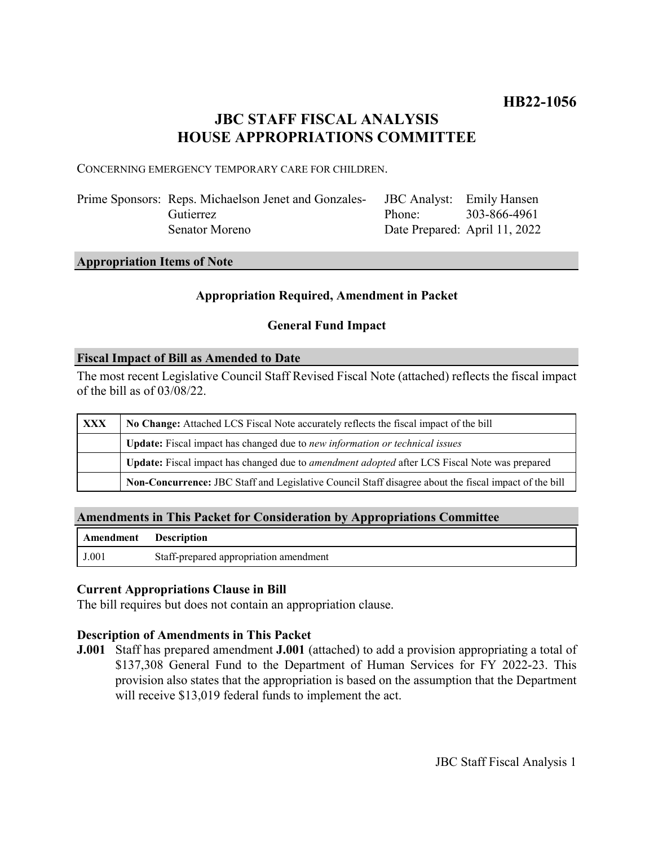# **JBC STAFF FISCAL ANALYSIS HOUSE APPROPRIATIONS COMMITTEE**

CONCERNING EMERGENCY TEMPORARY CARE FOR CHILDREN.

| Prime Sponsors: Reps. Michaelson Jenet and Gonzales- | JBC Analyst: Emily Hansen |                               |
|------------------------------------------------------|---------------------------|-------------------------------|
| Gutierrez                                            | Phone: 303-866-4961       |                               |
| Senator Moreno                                       |                           | Date Prepared: April 11, 2022 |

### **Appropriation Items of Note**

# **Appropriation Required, Amendment in Packet**

# **General Fund Impact**

#### **Fiscal Impact of Bill as Amended to Date**

The most recent Legislative Council Staff Revised Fiscal Note (attached) reflects the fiscal impact of the bill as of 03/08/22.

| <b>XXX</b> | No Change: Attached LCS Fiscal Note accurately reflects the fiscal impact of the bill                 |  |
|------------|-------------------------------------------------------------------------------------------------------|--|
|            | Update: Fiscal impact has changed due to new information or technical issues                          |  |
|            | Update: Fiscal impact has changed due to <i>amendment adopted</i> after LCS Fiscal Note was prepared  |  |
|            | Non-Concurrence: JBC Staff and Legislative Council Staff disagree about the fiscal impact of the bill |  |

### **Amendments in This Packet for Consideration by Appropriations Committee**

| <b>Amendment</b> Description |                                        |
|------------------------------|----------------------------------------|
| J.001                        | Staff-prepared appropriation amendment |

### **Current Appropriations Clause in Bill**

The bill requires but does not contain an appropriation clause.

### **Description of Amendments in This Packet**

**J.001** Staff has prepared amendment **J.001** (attached) to add a provision appropriating a total of \$137,308 General Fund to the Department of Human Services for FY 2022-23. This provision also states that the appropriation is based on the assumption that the Department will receive \$13,019 federal funds to implement the act.